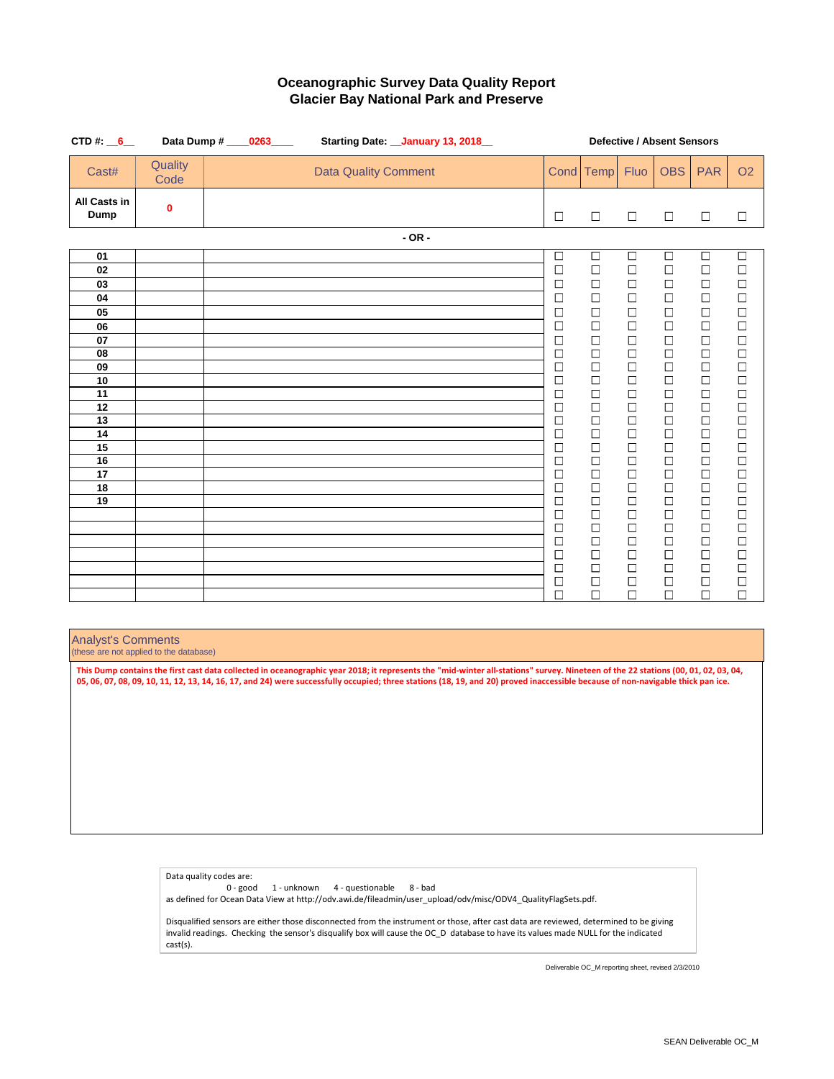| CTD#: $6$                   |                 | Data Dump # ____0263____ | Starting Date: __ January 13, 2018_ |             | <b>Defective / Absent Sensors</b><br><b>OBS</b><br><b>PAR</b><br>Cond Temp<br>Fluo |                  |                  |                  |                  |  |
|-----------------------------|-----------------|--------------------------|-------------------------------------|-------------|------------------------------------------------------------------------------------|------------------|------------------|------------------|------------------|--|
| Cast#                       | Quality<br>Code |                          | <b>Data Quality Comment</b>         |             |                                                                                    |                  |                  |                  | O <sub>2</sub>   |  |
| <b>All Casts in</b><br>Dump | 0               |                          |                                     | $\Box$      | $\Box$                                                                             | $\Box$           | $\Box$           | $\Box$           | $\Box$           |  |
|                             |                 |                          | $-$ OR $-$                          |             |                                                                                    |                  |                  |                  |                  |  |
| 01                          |                 |                          |                                     | $\Box$      | $\Box$                                                                             | $\Box$           | $\Box$           | $\Box$           | $\Box$           |  |
| 02                          |                 |                          |                                     | $\Box$      | $\Box$                                                                             | $\Box$           | $\Box$           | $\Box$           | $\Box$           |  |
| 03                          |                 |                          |                                     | □           | $\Box$                                                                             | $\Box$           | $\Box$           | $\Box$           | $\Box$           |  |
| 04                          |                 |                          |                                     | □           | $\Box$                                                                             | □                | $\Box$           | $\Box$           | $\Box$           |  |
| 05                          |                 |                          |                                     | $\Box$      | $\Box$                                                                             | $\Box$           | $\Box$           | $\Box$           | $\Box$           |  |
| 06                          |                 |                          |                                     | $\Box$      | $\Box$                                                                             | $\Box$           | $\Box$           | $\Box$           | $\Box$           |  |
| 07<br>08                    |                 |                          |                                     | □<br>$\Box$ | $\Box$<br>$\Box$                                                                   | □<br>$\Box$      | $\Box$<br>$\Box$ | $\Box$<br>$\Box$ | $\Box$<br>$\Box$ |  |
| 09                          |                 |                          |                                     | □           | $\Box$                                                                             | $\Box$           | $\Box$           | $\Box$           | $\Box$           |  |
| 10                          |                 |                          |                                     | □           | $\Box$                                                                             | $\Box$           | $\Box$           | $\Box$           | $\Box$           |  |
| 11                          |                 |                          |                                     | $\Box$      | $\Box$                                                                             | $\Box$           | $\Box$           | $\Box$           | $\Box$           |  |
| 12                          |                 |                          |                                     | $\Box$      | $\Box$                                                                             | $\Box$           | $\Box$           | $\Box$           | $\Box$           |  |
| 13                          |                 |                          |                                     | $\Box$      | $\Box$                                                                             | □                | $\Box$           | $\Box$           | $\Box$           |  |
| 14                          |                 |                          |                                     | $\Box$      | $\Box$                                                                             | □                | $\Box$           | $\Box$           | $\Box$           |  |
| 15                          |                 |                          |                                     | □           | $\Box$                                                                             | $\Box$           | $\Box$           | $\Box$           | $\Box$           |  |
| 16                          |                 |                          |                                     | □           | $\Box$                                                                             | $\Box$           | $\Box$           | $\Box$<br>$\Box$ | $\Box$<br>$\Box$ |  |
| 17<br>18                    |                 |                          |                                     | □<br>□      | $\Box$<br>$\Box$                                                                   | $\Box$<br>$\Box$ | $\Box$<br>$\Box$ | $\Box$           | $\Box$           |  |
| 19                          |                 |                          |                                     | $\Box$      | $\Box$                                                                             | $\Box$           | $\Box$           | $\Box$           | $\Box$           |  |
|                             |                 |                          |                                     | $\Box$      | $\Box$                                                                             | $\Box$           | $\Box$           | $\Box$           | $\Box$           |  |
|                             |                 |                          |                                     | $\Box$      | $\Box$                                                                             | $\Box$           | $\Box$           | $\Box$           | $\Box$           |  |
|                             |                 |                          |                                     | $\Box$      | $\Box$                                                                             | $\Box$           | $\Box$           | $\Box$           | $\Box$           |  |
|                             |                 |                          |                                     | □           | $\Box$                                                                             | $\Box$           | $\Box$           | $\Box$           | $\Box$           |  |
|                             |                 |                          |                                     | □           | $\Box$                                                                             | $\Box$           | $\Box$           | $\Box$           | $\Box$           |  |
|                             |                 |                          |                                     | □           | $\Box$                                                                             | $\Box$           | $\Box$           | $\Box$           | $\Box$           |  |
|                             |                 |                          |                                     | $\Box$      | $\Box$                                                                             | $\Box$           | $\Box$           | $\Box$           | $\Box$           |  |

### Analyst's Comments

(these are not applied to the database)

**This Dump contains the first cast data collected in oceanographic year 2018; it represents the "mid-winter all-stations" survey. Nineteen of the 22 stations (00, 01, 02, 03, 04, 05, 06, 07, 08, 09, 10, 11, 12, 13, 14, 16, 17, and 24) were successfully occupied; three stations (18, 19, and 20) proved inaccessible because of non-navigable thick pan ice.** 

> Data quality codes are: 0 - good 1 - unknown 4 - questionable 8 - bad as defined for Ocean Data View at http://odv.awi.de/fileadmin/user\_upload/odv/misc/ODV4\_QualityFlagSets.pdf.

Disqualified sensors are either those disconnected from the instrument or those, after cast data are reviewed, determined to be giving invalid readings. Checking the sensor's disqualify box will cause the OC\_D database to have its values made NULL for the indicated cast(s).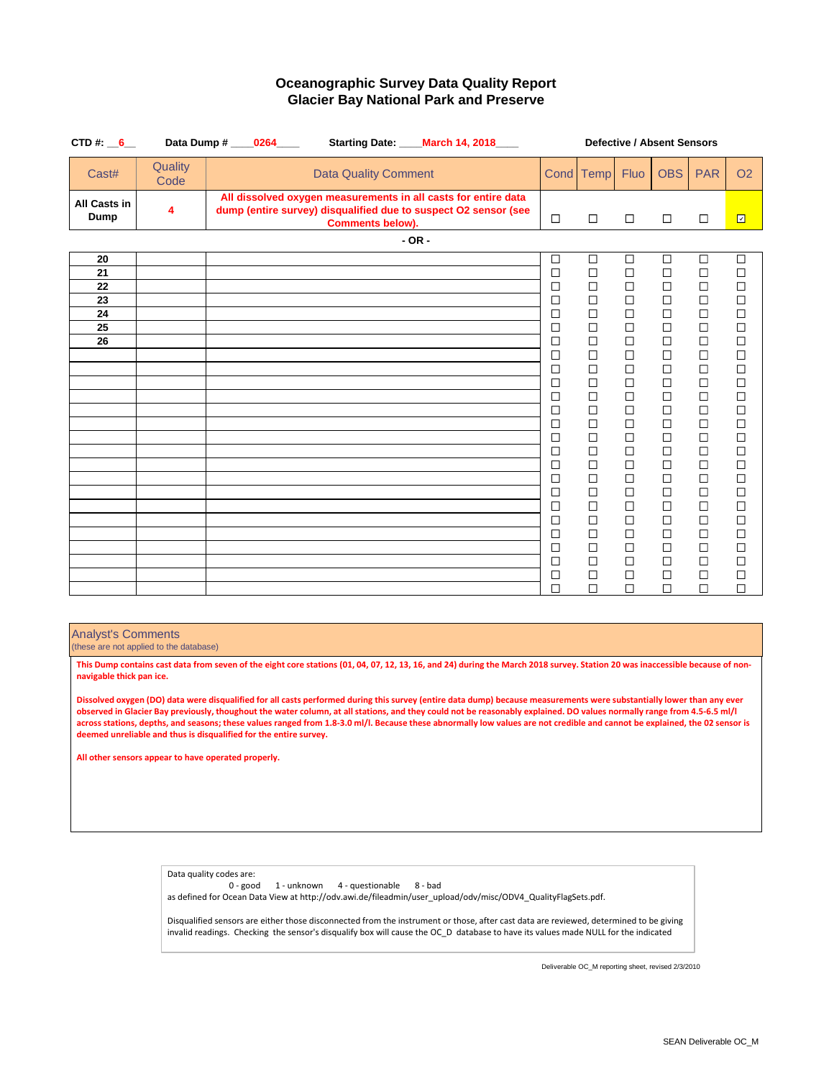| CTD#: $6$                                           |                 | Data Dump # 0264<br>Starting Date: ____ March 14, 2018____                                                                                                   |                                                                                                                                                                                                           | <b>Defective / Absent Sensors</b><br><b>OBS</b><br><b>PAR</b><br>Cond Temp<br><b>Fluo</b>                                                                                                                      |                                                                                                                                                                                                                |                                                                                                                                                                                                                |                                                                                                                                                                                                                               |                                                                                                                                                                                                                                    |
|-----------------------------------------------------|-----------------|--------------------------------------------------------------------------------------------------------------------------------------------------------------|-----------------------------------------------------------------------------------------------------------------------------------------------------------------------------------------------------------|----------------------------------------------------------------------------------------------------------------------------------------------------------------------------------------------------------------|----------------------------------------------------------------------------------------------------------------------------------------------------------------------------------------------------------------|----------------------------------------------------------------------------------------------------------------------------------------------------------------------------------------------------------------|-------------------------------------------------------------------------------------------------------------------------------------------------------------------------------------------------------------------------------|------------------------------------------------------------------------------------------------------------------------------------------------------------------------------------------------------------------------------------|
| Cast#                                               | Quality<br>Code | <b>Data Quality Comment</b>                                                                                                                                  |                                                                                                                                                                                                           |                                                                                                                                                                                                                |                                                                                                                                                                                                                |                                                                                                                                                                                                                |                                                                                                                                                                                                                               | <b>O2</b>                                                                                                                                                                                                                          |
| All Casts in<br>Dump                                | 4               | All dissolved oxygen measurements in all casts for entire data<br>dump (entire survey) disqualified due to suspect O2 sensor (see<br><b>Comments below).</b> | $\Box$                                                                                                                                                                                                    | $\Box$                                                                                                                                                                                                         | $\Box$                                                                                                                                                                                                         | $\Box$                                                                                                                                                                                                         | $\Box$                                                                                                                                                                                                                        | $\overline{\Xi}$                                                                                                                                                                                                                   |
|                                                     |                 | $-$ OR $-$                                                                                                                                                   |                                                                                                                                                                                                           |                                                                                                                                                                                                                |                                                                                                                                                                                                                |                                                                                                                                                                                                                |                                                                                                                                                                                                                               |                                                                                                                                                                                                                                    |
| 20<br>21<br>22<br>23<br>24<br>25<br>$\overline{26}$ |                 |                                                                                                                                                              | $\Box$<br>$\Box$<br>$\Box$<br>$\Box$<br>$\Box$<br>□<br>$\Box$<br>□<br>$\Box$<br>□<br>$\Box$<br>□<br>$\Box$<br>$\Box$<br>$\Box$<br>$\Box$<br>$\Box$<br>$\Box$<br>□<br>$\Box$<br>$\Box$<br>$\Box$<br>$\Box$ | □<br>$\Box$<br>$\Box$<br>$\Box$<br>$\Box$<br>□<br>$\Box$<br>$\Box$<br>$\Box$<br>$\Box$<br>$\Box$<br>$\Box$<br>$\Box$<br>□<br>□<br>$\Box$<br>$\Box$<br>$\Box$<br>$\Box$<br>$\Box$<br>$\Box$<br>$\Box$<br>$\Box$ | □<br>$\Box$<br>$\Box$<br>$\Box$<br>$\Box$<br>□<br>$\Box$<br>$\Box$<br>$\Box$<br>□<br>$\Box$<br>$\Box$<br>$\Box$<br>$\Box$<br>□<br>$\Box$<br>$\Box$<br>$\Box$<br>$\Box$<br>$\Box$<br>$\Box$<br>$\Box$<br>$\Box$ | $\Box$<br>$\Box$<br>$\Box$<br>$\Box$<br>$\Box$<br>□<br>$\Box$<br>□<br>$\Box$<br>$\Box$<br>$\Box$<br>$\Box$<br>$\Box$<br>□<br>□<br>$\Box$<br>$\Box$<br>$\Box$<br>$\Box$<br>$\Box$<br>$\Box$<br>$\Box$<br>$\Box$ | $\Box$<br>$\Box$<br>$\Box$<br>$\Box$<br>$\Box$<br>$\Box$<br>$\Box$<br>$\Box$<br>$\Box$<br>$\Box$<br>$\Box$<br>$\Box$<br>$\Box$<br>$\Box$<br>□<br>$\Box$<br>$\Box$<br>$\Box$<br>$\Box$<br>$\Box$<br>$\Box$<br>$\Box$<br>$\Box$ | $\Box$<br>$\Box$<br>$\Box$<br>$\Box$<br>$\Box$<br>$\Box$<br>$\Box$<br>$\Box$<br>$\Box$<br>$\Box$<br>$\Box$<br>$\Box$<br>$\Box$<br>$\Box$<br>$\Box$<br>$\Box$<br>$\Box$<br>$\Box$<br>$\Box$<br>$\Box$<br>$\Box$<br>$\Box$<br>$\Box$ |
|                                                     |                 |                                                                                                                                                              | $\Box$<br>$\Box$                                                                                                                                                                                          | □<br>$\Box$                                                                                                                                                                                                    | П<br>$\Box$                                                                                                                                                                                                    | П<br>$\Box$                                                                                                                                                                                                    | $\Box$<br>$\Box$                                                                                                                                                                                                              | $\Box$<br>$\Box$                                                                                                                                                                                                                   |

Analyst's Comments

(these are not applied to the database)

**This Dump contains cast data from seven of the eight core stations (01, 04, 07, 12, 13, 16, and 24) during the March 2018 survey. Station 20 was inaccessible because of nonnavigable thick pan ice.**

**Dissolved oxygen (DO) data were disqualified for all casts performed during this survey (entire data dump) because measurements were substantially lower than any ever observed in Glacier Bay previously, thoughout the water column, at all stations, and they could not be reasonably explained. DO values normally range from 4.5-6.5 ml/l across stations, depths, and seasons; these values ranged from 1.8-3.0 ml/l. Because these abnormally low values are not credible and cannot be explained, the 02 sensor is deemed unreliable and thus is disqualified for the entire survey.**

**All other sensors appear to have operated properly.**

Data quality codes are: 0 - good 1 - unknown 4 - questionable 8 - bad as defined for Ocean Data View at http://odv.awi.de/fileadmin/user\_upload/odv/misc/ODV4\_QualityFlagSets.pdf.

Disqualified sensors are either those disconnected from the instrument or those, after cast data are reviewed, determined to be giving invalid readings. Checking the sensor's disqualify box will cause the OC\_D database to have its values made NULL for the indicated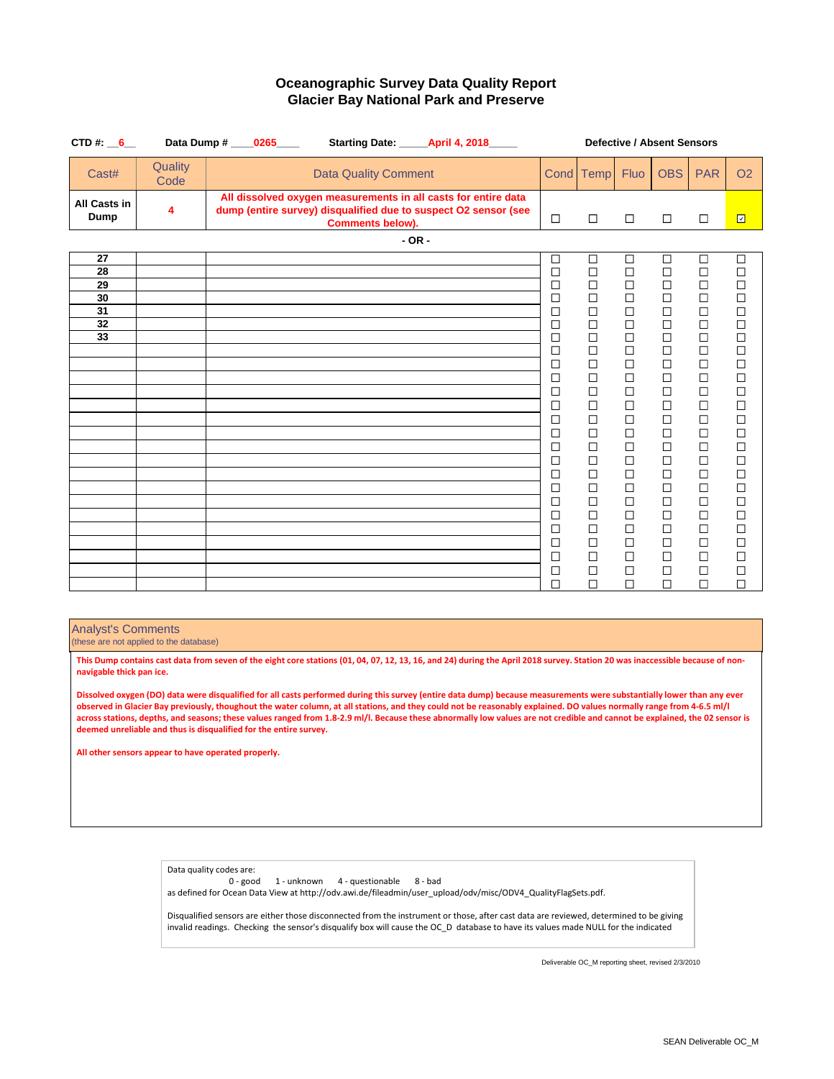| CTD#: $6$                                           |                 | Data Dump # 0265<br>Starting Date: April 4, 2018                                                                                                             |                                                                                                                                                                                                           | <b>Defective / Absent Sensors</b><br><b>OBS</b><br><b>PAR</b><br><b>Fluo</b><br>Cond Temp                                                                                                                      |                                                                                                                                                                                            |                                                                                                                                                                                                                          |                                                                                                                                                                                                                     |                                                                                                                                                                                                                                         |
|-----------------------------------------------------|-----------------|--------------------------------------------------------------------------------------------------------------------------------------------------------------|-----------------------------------------------------------------------------------------------------------------------------------------------------------------------------------------------------------|----------------------------------------------------------------------------------------------------------------------------------------------------------------------------------------------------------------|--------------------------------------------------------------------------------------------------------------------------------------------------------------------------------------------|--------------------------------------------------------------------------------------------------------------------------------------------------------------------------------------------------------------------------|---------------------------------------------------------------------------------------------------------------------------------------------------------------------------------------------------------------------|-----------------------------------------------------------------------------------------------------------------------------------------------------------------------------------------------------------------------------------------|
| Cast#                                               | Quality<br>Code | <b>Data Quality Comment</b>                                                                                                                                  |                                                                                                                                                                                                           |                                                                                                                                                                                                                |                                                                                                                                                                                            |                                                                                                                                                                                                                          |                                                                                                                                                                                                                     | O <sub>2</sub>                                                                                                                                                                                                                          |
| All Casts in<br>Dump                                | 4               | All dissolved oxygen measurements in all casts for entire data<br>dump (entire survey) disqualified due to suspect O2 sensor (see<br><b>Comments below).</b> | $\Box$                                                                                                                                                                                                    | $\Box$                                                                                                                                                                                                         | $\Box$                                                                                                                                                                                     | $\Box$                                                                                                                                                                                                                   | $\Box$                                                                                                                                                                                                              | $\overline{\Xi}$                                                                                                                                                                                                                        |
|                                                     |                 | $-$ OR $-$                                                                                                                                                   |                                                                                                                                                                                                           |                                                                                                                                                                                                                |                                                                                                                                                                                            |                                                                                                                                                                                                                          |                                                                                                                                                                                                                     |                                                                                                                                                                                                                                         |
| 27<br>28<br>29<br>$\overline{30}$<br>31<br>32<br>33 |                 |                                                                                                                                                              | □<br>$\Box$<br>$\Box$<br>$\Box$<br>$\Box$<br>$\Box$<br>$\Box$<br>□<br>□<br>□<br>$\Box$<br>$\Box$<br>□<br>$\Box$<br>$\Box$<br>$\Box$<br>□<br>$\Box$<br>$\Box$<br>$\Box$<br>□<br>$\Box$<br>$\Box$<br>$\Box$ | □<br>$\Box$<br>$\Box$<br>□<br>□<br>$\Box$<br>$\Box$<br>$\Box$<br>$\Box$<br>$\Box$<br>$\Box$<br>$\Box$<br>$\Box$<br>$\Box$<br>□<br>$\Box$<br>□<br>$\Box$<br>$\Box$<br>$\Box$<br>□<br>$\Box$<br>$\Box$<br>$\Box$ | □<br>$\Box$<br>□<br>□<br>□<br>$\Box$<br>$\Box$<br>$\Box$<br>□<br>$\Box$<br>$\Box$<br>$\Box$<br>□<br>□<br>□<br>$\Box$<br>□<br>П<br>$\Box$<br>$\Box$<br>$\Box$<br>$\Box$<br>$\Box$<br>$\Box$ | □<br>$\Box$<br>$\Box$<br>$\Box$<br>$\Box$<br>$\Box$<br>$\Box$<br>$\Box$<br>$\Box$<br>П<br>$\Box$<br>$\Box$<br>$\Box$<br>$\Box$<br>$\Box$<br>$\Box$<br>$\Box$<br>П<br>□<br>$\Box$<br>$\Box$<br>$\Box$<br>$\Box$<br>$\Box$ | $\Box$<br>$\Box$<br>$\Box$<br>$\Box$<br>□<br>$\Box$<br>$\Box$<br>$\Box$<br>$\Box$<br>$\Box$<br>$\Box$<br>$\Box$<br>$\Box$<br>□<br>□<br>$\Box$<br>□<br>П<br>$\Box$<br>$\Box$<br>$\Box$<br>$\Box$<br>$\Box$<br>$\Box$ | □<br>$\Box$<br>$\Box$<br>$\Box$<br>$\Box$<br>$\Box$<br>$\Box$<br>$\Box$<br>$\Box$<br>$\Box$<br>$\Box$<br>$\Box$<br>$\Box$<br>$\Box$<br>$\Box$<br>$\Box$<br>$\Box$<br>$\Box$<br>$\Box$<br>$\Box$<br>$\Box$<br>$\Box$<br>$\Box$<br>$\Box$ |
|                                                     |                 |                                                                                                                                                              | $\Box$                                                                                                                                                                                                    | $\Box$                                                                                                                                                                                                         | $\Box$                                                                                                                                                                                     | $\Box$                                                                                                                                                                                                                   | $\Box$                                                                                                                                                                                                              | $\Box$                                                                                                                                                                                                                                  |

### Analyst's Comments

(these are not applied to the database)

**This Dump contains cast data from seven of the eight core stations (01, 04, 07, 12, 13, 16, and 24) during the April 2018 survey. Station 20 was inaccessible because of nonnavigable thick pan ice.**

**Dissolved oxygen (DO) data were disqualified for all casts performed during this survey (entire data dump) because measurements were substantially lower than any ever observed in Glacier Bay previously, thoughout the water column, at all stations, and they could not be reasonably explained. DO values normally range from 4-6.5 ml/l across stations, depths, and seasons; these values ranged from 1.8-2.9 ml/l. Because these abnormally low values are not credible and cannot be explained, the 02 sensor is deemed unreliable and thus is disqualified for the entire survey.**

**All other sensors appear to have operated properly.**

Data quality codes are:

0 - good 1 - unknown 4 - questionable 8 - bad as defined for Ocean Data View at http://odv.awi.de/fileadmin/user\_upload/odv/misc/ODV4\_QualityFlagSets.pdf.

Disqualified sensors are either those disconnected from the instrument or those, after cast data are reviewed, determined to be giving invalid readings. Checking the sensor's disqualify box will cause the OC\_D database to have its values made NULL for the indicated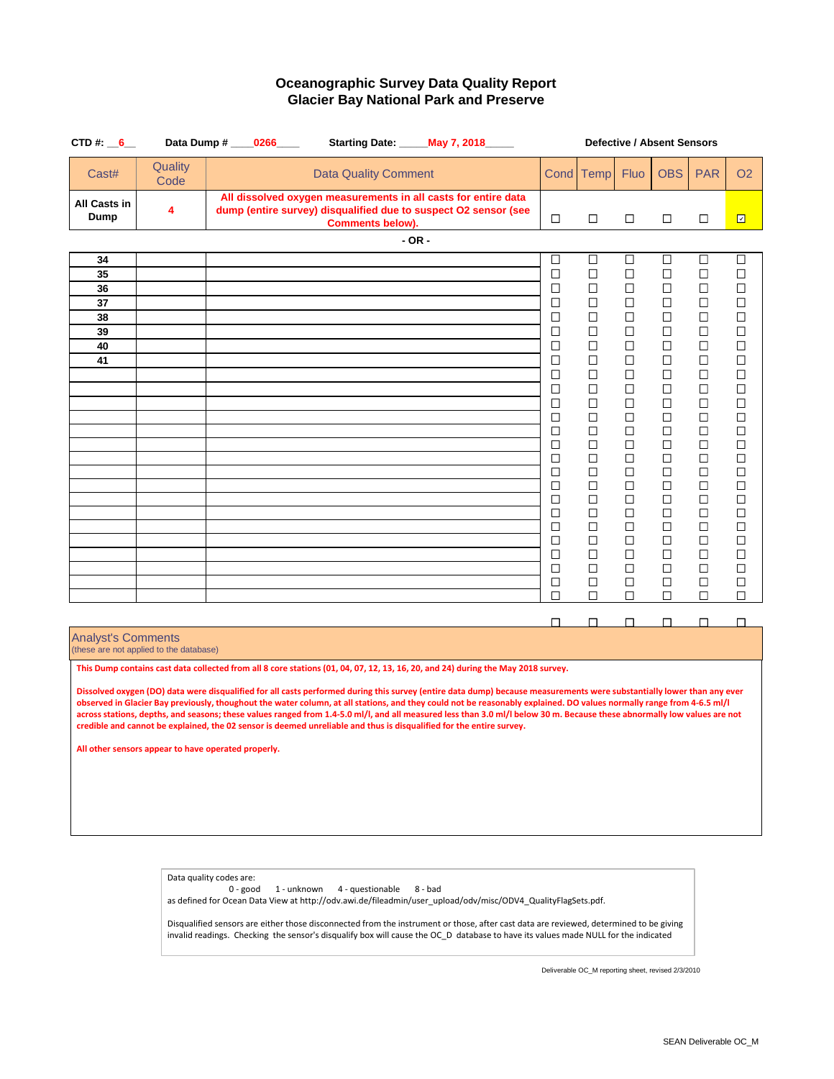| CTD #: $6$                                                                                                                                                                                                                                                                                                                                                                                                                                                                |                                         | Data Dump # ____0266____                                                                                                                                     | Starting Date: _____ May 7, 2018_____ | <b>Defective / Absent Sensors</b><br>Fluo<br><b>OBS</b><br><b>PAR</b><br>Cond<br>Temp<br>$\overline{\Xi}$<br>□<br>□<br>□<br>□<br>$\Box$<br>□<br>□<br>□<br>□<br>□<br>□<br>□<br>□<br>□<br>□<br>□<br>□<br>□<br>□<br>$\Box$<br>$\Box$<br>$\Box$<br>$\Box$<br>□<br>□<br>□<br>□<br>□<br>□<br>□<br>□<br>□<br>□<br>□<br>□<br>□<br>□<br>□<br>□<br>□<br>□<br>□<br>□<br>□<br>□<br>□<br>□<br>□<br>□<br>□<br>□<br>□<br>□<br>□<br>□<br>□<br>□<br>□<br>□<br>□<br>□<br>□<br>□<br>□<br>□<br>□<br>□<br>□<br>□<br>□<br>□<br>$\Box$<br>$\Box$<br>$\Box$<br>$\Box$<br>□<br>□<br>$\Box$<br>$\Box$<br>$\Box$<br>$\Box$<br>$\Box$<br>□<br>□<br>□<br>□<br>□<br>□<br>□<br>□<br>□<br>□<br>□<br>□<br>□<br>□<br>□<br>□<br>□<br>□<br>□<br>□<br>□<br>□<br>□<br>□<br>□<br>□<br>□<br>□<br>□<br>□<br>□<br>□<br>□<br>□<br>□<br>□<br>□<br>□<br>□<br>□<br>□<br>□<br>□<br>□<br>□<br>□<br>□<br>$\Box$<br>□<br>□<br>□<br>□<br>□<br>□<br>□<br>□<br>□<br>□<br>$\Box$<br>□<br>□<br>$\Box$<br>□<br>□<br>□<br>□<br>□<br>□<br>□<br>□<br>□<br>□<br>□<br>П<br>П<br>П<br>□<br>□<br>□<br>Dissolved oxygen (DO) data were disqualified for all casts performed during this survey (entire data dump) because measurements were substantially lower than any ever |  |  |  |  |                |
|---------------------------------------------------------------------------------------------------------------------------------------------------------------------------------------------------------------------------------------------------------------------------------------------------------------------------------------------------------------------------------------------------------------------------------------------------------------------------|-----------------------------------------|--------------------------------------------------------------------------------------------------------------------------------------------------------------|---------------------------------------|---------------------------------------------------------------------------------------------------------------------------------------------------------------------------------------------------------------------------------------------------------------------------------------------------------------------------------------------------------------------------------------------------------------------------------------------------------------------------------------------------------------------------------------------------------------------------------------------------------------------------------------------------------------------------------------------------------------------------------------------------------------------------------------------------------------------------------------------------------------------------------------------------------------------------------------------------------------------------------------------------------------------------------------------------------------------------------------------------------------------------------------------------------------------------------------------------------------|--|--|--|--|----------------|
| Cast#                                                                                                                                                                                                                                                                                                                                                                                                                                                                     | Quality<br>Code                         | <b>Data Quality Comment</b>                                                                                                                                  |                                       |                                                                                                                                                                                                                                                                                                                                                                                                                                                                                                                                                                                                                                                                                                                                                                                                                                                                                                                                                                                                                                                                                                                                                                                                               |  |  |  |  | O <sub>2</sub> |
| All Casts in<br>Dump                                                                                                                                                                                                                                                                                                                                                                                                                                                      | 4                                       | All dissolved oxygen measurements in all casts for entire data<br>dump (entire survey) disqualified due to suspect O2 sensor (see<br><b>Comments below).</b> |                                       |                                                                                                                                                                                                                                                                                                                                                                                                                                                                                                                                                                                                                                                                                                                                                                                                                                                                                                                                                                                                                                                                                                                                                                                                               |  |  |  |  |                |
|                                                                                                                                                                                                                                                                                                                                                                                                                                                                           |                                         |                                                                                                                                                              | $-OR -$                               |                                                                                                                                                                                                                                                                                                                                                                                                                                                                                                                                                                                                                                                                                                                                                                                                                                                                                                                                                                                                                                                                                                                                                                                                               |  |  |  |  |                |
| 34                                                                                                                                                                                                                                                                                                                                                                                                                                                                        |                                         |                                                                                                                                                              |                                       |                                                                                                                                                                                                                                                                                                                                                                                                                                                                                                                                                                                                                                                                                                                                                                                                                                                                                                                                                                                                                                                                                                                                                                                                               |  |  |  |  |                |
| 35                                                                                                                                                                                                                                                                                                                                                                                                                                                                        |                                         |                                                                                                                                                              |                                       |                                                                                                                                                                                                                                                                                                                                                                                                                                                                                                                                                                                                                                                                                                                                                                                                                                                                                                                                                                                                                                                                                                                                                                                                               |  |  |  |  |                |
| 36                                                                                                                                                                                                                                                                                                                                                                                                                                                                        |                                         |                                                                                                                                                              |                                       |                                                                                                                                                                                                                                                                                                                                                                                                                                                                                                                                                                                                                                                                                                                                                                                                                                                                                                                                                                                                                                                                                                                                                                                                               |  |  |  |  |                |
| 37                                                                                                                                                                                                                                                                                                                                                                                                                                                                        |                                         |                                                                                                                                                              |                                       |                                                                                                                                                                                                                                                                                                                                                                                                                                                                                                                                                                                                                                                                                                                                                                                                                                                                                                                                                                                                                                                                                                                                                                                                               |  |  |  |  |                |
| 38<br>39                                                                                                                                                                                                                                                                                                                                                                                                                                                                  |                                         |                                                                                                                                                              |                                       |                                                                                                                                                                                                                                                                                                                                                                                                                                                                                                                                                                                                                                                                                                                                                                                                                                                                                                                                                                                                                                                                                                                                                                                                               |  |  |  |  |                |
| 40                                                                                                                                                                                                                                                                                                                                                                                                                                                                        |                                         |                                                                                                                                                              |                                       |                                                                                                                                                                                                                                                                                                                                                                                                                                                                                                                                                                                                                                                                                                                                                                                                                                                                                                                                                                                                                                                                                                                                                                                                               |  |  |  |  |                |
| 41                                                                                                                                                                                                                                                                                                                                                                                                                                                                        |                                         |                                                                                                                                                              |                                       |                                                                                                                                                                                                                                                                                                                                                                                                                                                                                                                                                                                                                                                                                                                                                                                                                                                                                                                                                                                                                                                                                                                                                                                                               |  |  |  |  |                |
|                                                                                                                                                                                                                                                                                                                                                                                                                                                                           |                                         |                                                                                                                                                              |                                       |                                                                                                                                                                                                                                                                                                                                                                                                                                                                                                                                                                                                                                                                                                                                                                                                                                                                                                                                                                                                                                                                                                                                                                                                               |  |  |  |  |                |
|                                                                                                                                                                                                                                                                                                                                                                                                                                                                           |                                         |                                                                                                                                                              |                                       |                                                                                                                                                                                                                                                                                                                                                                                                                                                                                                                                                                                                                                                                                                                                                                                                                                                                                                                                                                                                                                                                                                                                                                                                               |  |  |  |  |                |
|                                                                                                                                                                                                                                                                                                                                                                                                                                                                           |                                         |                                                                                                                                                              |                                       |                                                                                                                                                                                                                                                                                                                                                                                                                                                                                                                                                                                                                                                                                                                                                                                                                                                                                                                                                                                                                                                                                                                                                                                                               |  |  |  |  |                |
|                                                                                                                                                                                                                                                                                                                                                                                                                                                                           |                                         |                                                                                                                                                              |                                       |                                                                                                                                                                                                                                                                                                                                                                                                                                                                                                                                                                                                                                                                                                                                                                                                                                                                                                                                                                                                                                                                                                                                                                                                               |  |  |  |  |                |
|                                                                                                                                                                                                                                                                                                                                                                                                                                                                           |                                         |                                                                                                                                                              |                                       |                                                                                                                                                                                                                                                                                                                                                                                                                                                                                                                                                                                                                                                                                                                                                                                                                                                                                                                                                                                                                                                                                                                                                                                                               |  |  |  |  |                |
|                                                                                                                                                                                                                                                                                                                                                                                                                                                                           |                                         |                                                                                                                                                              |                                       |                                                                                                                                                                                                                                                                                                                                                                                                                                                                                                                                                                                                                                                                                                                                                                                                                                                                                                                                                                                                                                                                                                                                                                                                               |  |  |  |  |                |
|                                                                                                                                                                                                                                                                                                                                                                                                                                                                           |                                         |                                                                                                                                                              |                                       |                                                                                                                                                                                                                                                                                                                                                                                                                                                                                                                                                                                                                                                                                                                                                                                                                                                                                                                                                                                                                                                                                                                                                                                                               |  |  |  |  |                |
|                                                                                                                                                                                                                                                                                                                                                                                                                                                                           |                                         |                                                                                                                                                              |                                       |                                                                                                                                                                                                                                                                                                                                                                                                                                                                                                                                                                                                                                                                                                                                                                                                                                                                                                                                                                                                                                                                                                                                                                                                               |  |  |  |  |                |
|                                                                                                                                                                                                                                                                                                                                                                                                                                                                           |                                         |                                                                                                                                                              |                                       |                                                                                                                                                                                                                                                                                                                                                                                                                                                                                                                                                                                                                                                                                                                                                                                                                                                                                                                                                                                                                                                                                                                                                                                                               |  |  |  |  |                |
|                                                                                                                                                                                                                                                                                                                                                                                                                                                                           |                                         |                                                                                                                                                              |                                       |                                                                                                                                                                                                                                                                                                                                                                                                                                                                                                                                                                                                                                                                                                                                                                                                                                                                                                                                                                                                                                                                                                                                                                                                               |  |  |  |  |                |
|                                                                                                                                                                                                                                                                                                                                                                                                                                                                           |                                         |                                                                                                                                                              |                                       |                                                                                                                                                                                                                                                                                                                                                                                                                                                                                                                                                                                                                                                                                                                                                                                                                                                                                                                                                                                                                                                                                                                                                                                                               |  |  |  |  |                |
|                                                                                                                                                                                                                                                                                                                                                                                                                                                                           |                                         |                                                                                                                                                              |                                       |                                                                                                                                                                                                                                                                                                                                                                                                                                                                                                                                                                                                                                                                                                                                                                                                                                                                                                                                                                                                                                                                                                                                                                                                               |  |  |  |  |                |
|                                                                                                                                                                                                                                                                                                                                                                                                                                                                           |                                         |                                                                                                                                                              |                                       |                                                                                                                                                                                                                                                                                                                                                                                                                                                                                                                                                                                                                                                                                                                                                                                                                                                                                                                                                                                                                                                                                                                                                                                                               |  |  |  |  |                |
|                                                                                                                                                                                                                                                                                                                                                                                                                                                                           |                                         |                                                                                                                                                              |                                       |                                                                                                                                                                                                                                                                                                                                                                                                                                                                                                                                                                                                                                                                                                                                                                                                                                                                                                                                                                                                                                                                                                                                                                                                               |  |  |  |  |                |
|                                                                                                                                                                                                                                                                                                                                                                                                                                                                           |                                         |                                                                                                                                                              |                                       |                                                                                                                                                                                                                                                                                                                                                                                                                                                                                                                                                                                                                                                                                                                                                                                                                                                                                                                                                                                                                                                                                                                                                                                                               |  |  |  |  |                |
|                                                                                                                                                                                                                                                                                                                                                                                                                                                                           |                                         |                                                                                                                                                              |                                       |                                                                                                                                                                                                                                                                                                                                                                                                                                                                                                                                                                                                                                                                                                                                                                                                                                                                                                                                                                                                                                                                                                                                                                                                               |  |  |  |  |                |
| <b>Analyst's Comments</b>                                                                                                                                                                                                                                                                                                                                                                                                                                                 |                                         |                                                                                                                                                              |                                       |                                                                                                                                                                                                                                                                                                                                                                                                                                                                                                                                                                                                                                                                                                                                                                                                                                                                                                                                                                                                                                                                                                                                                                                                               |  |  |  |  |                |
|                                                                                                                                                                                                                                                                                                                                                                                                                                                                           | (these are not applied to the database) |                                                                                                                                                              |                                       |                                                                                                                                                                                                                                                                                                                                                                                                                                                                                                                                                                                                                                                                                                                                                                                                                                                                                                                                                                                                                                                                                                                                                                                                               |  |  |  |  |                |
|                                                                                                                                                                                                                                                                                                                                                                                                                                                                           |                                         | This Dump contains cast data collected from all 8 core stations (01, 04, 07, 12, 13, 16, 20, and 24) during the May 2018 survey.                             |                                       |                                                                                                                                                                                                                                                                                                                                                                                                                                                                                                                                                                                                                                                                                                                                                                                                                                                                                                                                                                                                                                                                                                                                                                                                               |  |  |  |  |                |
|                                                                                                                                                                                                                                                                                                                                                                                                                                                                           |                                         |                                                                                                                                                              |                                       |                                                                                                                                                                                                                                                                                                                                                                                                                                                                                                                                                                                                                                                                                                                                                                                                                                                                                                                                                                                                                                                                                                                                                                                                               |  |  |  |  |                |
| observed in Glacier Bay previously, thoughout the water column, at all stations, and they could not be reasonably explained. DO values normally range from 4-6.5 ml/l<br>across stations, depths, and seasons; these values ranged from 1.4-5.0 ml/l, and all measured less than 3.0 ml/l below 30 m. Because these abnormally low values are not<br>credible and cannot be explained, the 02 sensor is deemed unreliable and thus is disqualified for the entire survey. |                                         |                                                                                                                                                              |                                       |                                                                                                                                                                                                                                                                                                                                                                                                                                                                                                                                                                                                                                                                                                                                                                                                                                                                                                                                                                                                                                                                                                                                                                                                               |  |  |  |  |                |
|                                                                                                                                                                                                                                                                                                                                                                                                                                                                           |                                         | All other sensors appear to have operated properly.                                                                                                          |                                       |                                                                                                                                                                                                                                                                                                                                                                                                                                                                                                                                                                                                                                                                                                                                                                                                                                                                                                                                                                                                                                                                                                                                                                                                               |  |  |  |  |                |
|                                                                                                                                                                                                                                                                                                                                                                                                                                                                           |                                         |                                                                                                                                                              |                                       |                                                                                                                                                                                                                                                                                                                                                                                                                                                                                                                                                                                                                                                                                                                                                                                                                                                                                                                                                                                                                                                                                                                                                                                                               |  |  |  |  |                |
|                                                                                                                                                                                                                                                                                                                                                                                                                                                                           |                                         |                                                                                                                                                              |                                       |                                                                                                                                                                                                                                                                                                                                                                                                                                                                                                                                                                                                                                                                                                                                                                                                                                                                                                                                                                                                                                                                                                                                                                                                               |  |  |  |  |                |
|                                                                                                                                                                                                                                                                                                                                                                                                                                                                           |                                         |                                                                                                                                                              |                                       |                                                                                                                                                                                                                                                                                                                                                                                                                                                                                                                                                                                                                                                                                                                                                                                                                                                                                                                                                                                                                                                                                                                                                                                                               |  |  |  |  |                |
|                                                                                                                                                                                                                                                                                                                                                                                                                                                                           |                                         |                                                                                                                                                              |                                       |                                                                                                                                                                                                                                                                                                                                                                                                                                                                                                                                                                                                                                                                                                                                                                                                                                                                                                                                                                                                                                                                                                                                                                                                               |  |  |  |  |                |
|                                                                                                                                                                                                                                                                                                                                                                                                                                                                           |                                         |                                                                                                                                                              |                                       |                                                                                                                                                                                                                                                                                                                                                                                                                                                                                                                                                                                                                                                                                                                                                                                                                                                                                                                                                                                                                                                                                                                                                                                                               |  |  |  |  |                |

Data quality codes are: 0 - good 1 - unknown 4 - questionable 8 - bad as defined for Ocean Data View at http://odv.awi.de/fileadmin/user\_upload/odv/misc/ODV4\_QualityFlagSets.pdf.

Disqualified sensors are either those disconnected from the instrument or those, after cast data are reviewed, determined to be giving invalid readings. Checking the sensor's disqualify box will cause the OC\_D database to have its values made NULL for the indicated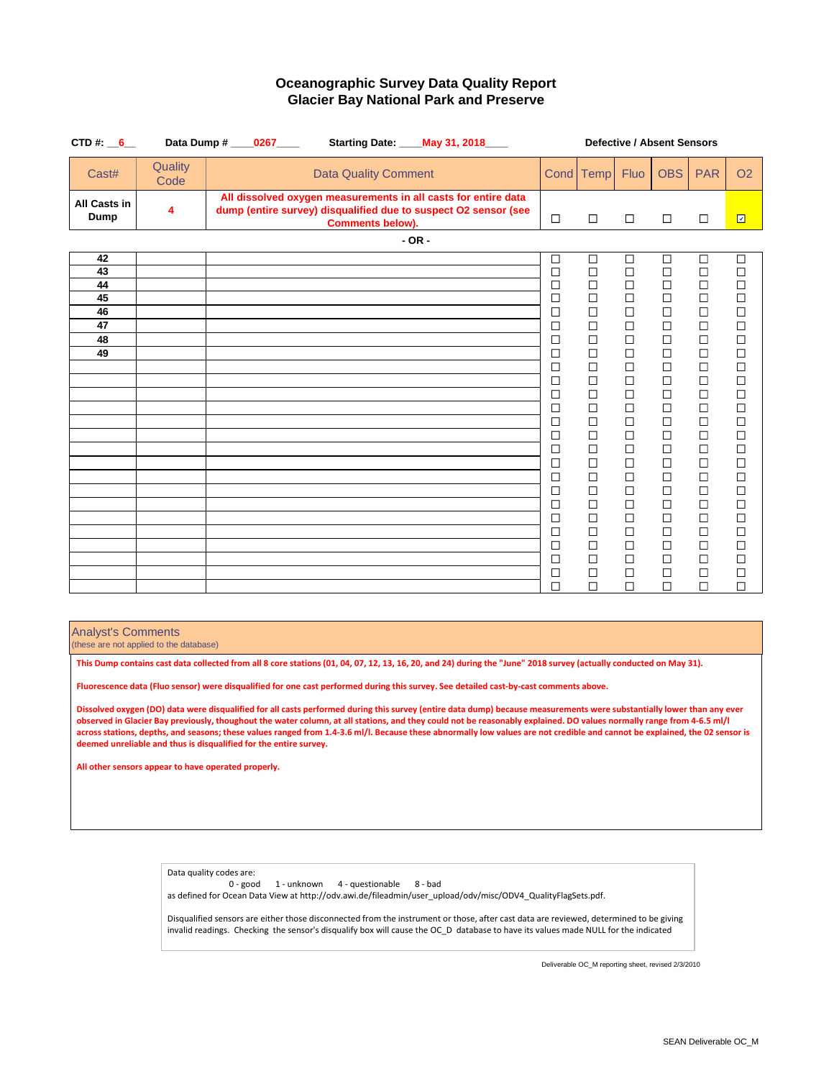| CTD#: $6$                                    |                 | Data Dump # ____0267____<br>Starting Date: ____ May 31, 2018____                                                                                             |                                                                                                                                     | <b>Defective / Absent Sensors</b>                                                                                                                                                                                                       |                                                                                                                                                                                                                               |                                                                                                                                                                                                                                         |                                                                                                                                                                                                                                              |                                                                                                                                                                                                                                              |
|----------------------------------------------|-----------------|--------------------------------------------------------------------------------------------------------------------------------------------------------------|-------------------------------------------------------------------------------------------------------------------------------------|-----------------------------------------------------------------------------------------------------------------------------------------------------------------------------------------------------------------------------------------|-------------------------------------------------------------------------------------------------------------------------------------------------------------------------------------------------------------------------------|-----------------------------------------------------------------------------------------------------------------------------------------------------------------------------------------------------------------------------------------|----------------------------------------------------------------------------------------------------------------------------------------------------------------------------------------------------------------------------------------------|----------------------------------------------------------------------------------------------------------------------------------------------------------------------------------------------------------------------------------------------|
| Cast#                                        | Quality<br>Code | <b>Data Quality Comment</b>                                                                                                                                  |                                                                                                                                     | Cond Temp                                                                                                                                                                                                                               | <b>Fluo</b>                                                                                                                                                                                                                   | <b>OBS</b>                                                                                                                                                                                                                              | <b>PAR</b>                                                                                                                                                                                                                                   | <b>O<sub>2</sub></b>                                                                                                                                                                                                                         |
| All Casts in<br>Dump                         | 4               | All dissolved oxygen measurements in all casts for entire data<br>dump (entire survey) disqualified due to suspect O2 sensor (see<br><b>Comments below).</b> | $\Box$                                                                                                                              | $\Box$                                                                                                                                                                                                                                  | $\Box$                                                                                                                                                                                                                        | $\Box$                                                                                                                                                                                                                                  | $\Box$                                                                                                                                                                                                                                       | $\overline{\Xi}$                                                                                                                                                                                                                             |
|                                              |                 | $-OR -$                                                                                                                                                      |                                                                                                                                     |                                                                                                                                                                                                                                         |                                                                                                                                                                                                                               |                                                                                                                                                                                                                                         |                                                                                                                                                                                                                                              |                                                                                                                                                                                                                                              |
| 42<br>43<br>44<br>45<br>46<br>47<br>48<br>49 |                 |                                                                                                                                                              | □<br>$\Box$<br>□<br>□<br>□<br>□<br>□<br>□<br>□<br>□<br>□<br>□<br>$\Box$<br>□<br>□<br>□<br>□<br>□<br>□<br>□<br>□<br>$\Box$<br>□<br>□ | $\Box$<br>$\Box$<br>$\Box$<br>$\Box$<br>$\Box$<br>$\Box$<br>$\Box$<br>$\Box$<br>$\Box$<br>$\Box$<br>$\Box$<br>$\Box$<br>$\Box$<br>□<br>$\Box$<br>$\Box$<br>$\Box$<br>$\Box$<br>$\Box$<br>$\Box$<br>$\Box$<br>$\Box$<br>$\Box$<br>$\Box$ | $\Box$<br>$\Box$<br>$\Box$<br>$\Box$<br>$\Box$<br>$\Box$<br>$\Box$<br>$\Box$<br>□<br>$\Box$<br>$\Box$<br>$\Box$<br>□<br>□<br>$\Box$<br>$\Box$<br>$\Box$<br>$\Box$<br>$\Box$<br>$\Box$<br>$\Box$<br>$\Box$<br>$\Box$<br>$\Box$ | $\Box$<br>$\Box$<br>$\Box$<br>$\Box$<br>$\Box$<br>$\Box$<br>$\Box$<br>$\Box$<br>$\Box$<br>$\Box$<br>$\Box$<br>$\Box$<br>$\Box$<br>□<br>$\Box$<br>$\Box$<br>$\Box$<br>$\Box$<br>$\Box$<br>$\Box$<br>$\Box$<br>$\Box$<br>$\Box$<br>$\Box$ | $\Box$<br>$\Box$<br>$\Box$<br>$\Box$<br>$\Box$<br>$\Box$<br>$\Box$<br>$\Box$<br>$\Box$<br>$\Box$<br>$\Box$<br>$\Box$<br>$\Box$<br>$\Box$<br>$\Box$<br>$\Box$<br>$\Box$<br>$\Box$<br>$\Box$<br>$\Box$<br>$\Box$<br>$\Box$<br>$\Box$<br>$\Box$ | $\Box$<br>$\Box$<br>$\Box$<br>$\Box$<br>$\Box$<br>$\Box$<br>$\Box$<br>$\Box$<br>$\Box$<br>$\Box$<br>$\Box$<br>$\Box$<br>$\Box$<br>$\Box$<br>$\Box$<br>$\Box$<br>$\Box$<br>$\Box$<br>$\Box$<br>$\Box$<br>$\Box$<br>$\Box$<br>$\Box$<br>$\Box$ |
|                                              |                 |                                                                                                                                                              | $\Box$                                                                                                                              | $\Box$                                                                                                                                                                                                                                  | $\Box$                                                                                                                                                                                                                        | $\Box$                                                                                                                                                                                                                                  | $\Box$                                                                                                                                                                                                                                       | $\Box$                                                                                                                                                                                                                                       |

Analyst's Comments

(these are not applied to the database)

**This Dump contains cast data collected from all 8 core stations (01, 04, 07, 12, 13, 16, 20, and 24) during the "June" 2018 survey (actually conducted on May 31).**

**Fluorescence data (Fluo sensor) were disqualified for one cast performed during this survey. See detailed cast-by-cast comments above.**

**Dissolved oxygen (DO) data were disqualified for all casts performed during this survey (entire data dump) because measurements were substantially lower than any ever observed in Glacier Bay previously, thoughout the water column, at all stations, and they could not be reasonably explained. DO values normally range from 4-6.5 ml/l across stations, depths, and seasons; these values ranged from 1.4-3.6 ml/l. Because these abnormally low values are not credible and cannot be explained, the 02 sensor is deemed unreliable and thus is disqualified for the entire survey.**

**All other sensors appear to have operated properly.**

Data quality codes are:

0 - good 1 - unknown 4 - questionable 8 - bad as defined for Ocean Data View at http://odv.awi.de/fileadmin/user\_upload/odv/misc/ODV4\_QualityFlagSets.pdf.

Disqualified sensors are either those disconnected from the instrument or those, after cast data are reviewed, determined to be giving invalid readings. Checking the sensor's disqualify box will cause the OC\_D database to have its values made NULL for the indicated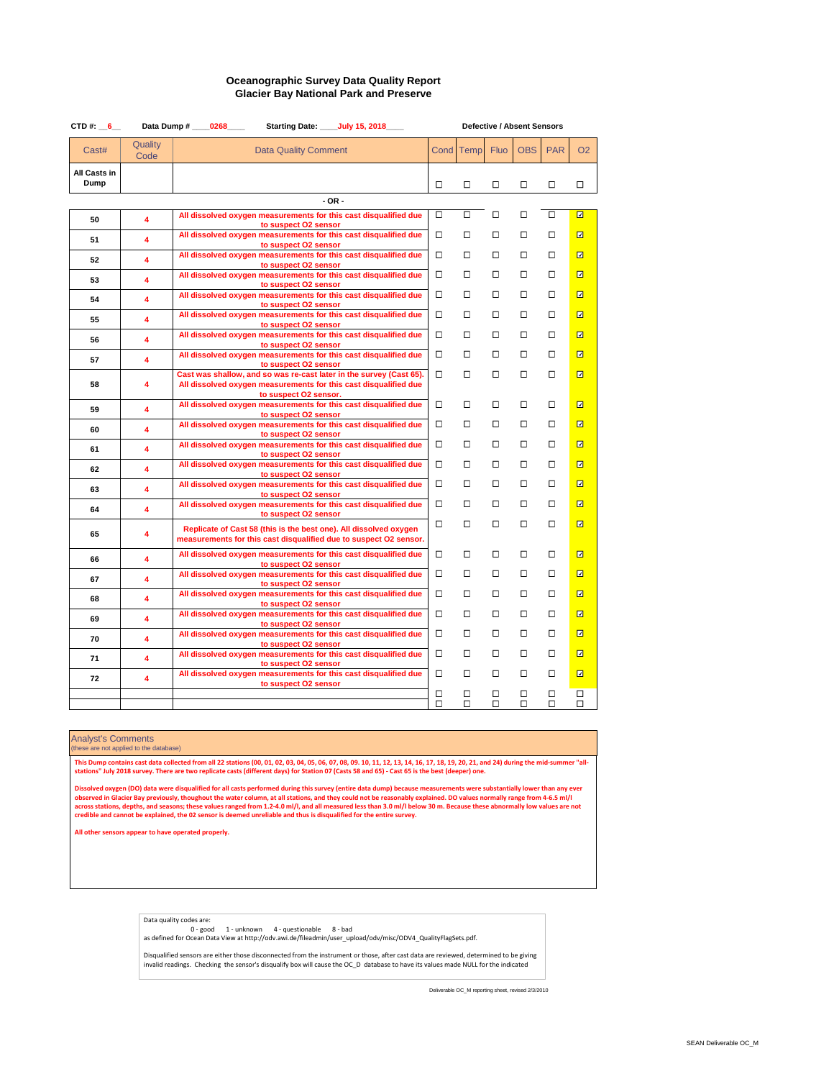| CTD#: $6$            |                 | Starting Date: _____July 15, 2018____<br>Data Dump # ____0268____                                                                       |             |                  |             | <b>Defective / Absent Sensors</b> |             |                  |
|----------------------|-----------------|-----------------------------------------------------------------------------------------------------------------------------------------|-------------|------------------|-------------|-----------------------------------|-------------|------------------|
| Cast#                | Quality<br>Code | <b>Data Quality Comment</b>                                                                                                             | Cond        | <b>Temp</b>      | <b>Fluo</b> | <b>OBS</b>                        | <b>PAR</b>  | O <sub>2</sub>   |
| All Casts in<br>Dump |                 |                                                                                                                                         | □           | □                | □           | □                                 | □           | □                |
|                      |                 |                                                                                                                                         |             |                  |             |                                   |             |                  |
| 50                   | 4               | All dissolved oxygen measurements for this cast disqualified due                                                                        | □           | □                | □           | □                                 | □           | $\Box$           |
| 51                   | 4               | to suspect O2 sensor<br>All dissolved oxygen measurements for this cast disqualified due                                                | □           | □                | □           | □                                 | □           | 回                |
|                      |                 | to suspect O2 sensor<br>All dissolved oxygen measurements for this cast disqualified due                                                | □           | □                | □           | □                                 | □           | 回                |
| 52                   | 4               | to suspect O2 sensor                                                                                                                    |             |                  |             |                                   |             |                  |
| 53                   | 4               | All dissolved oxygen measurements for this cast disqualified due<br>to suspect O2 sensor                                                | □           | □                | □           | □                                 | □           | 回                |
| 54                   | 4               | All dissolved oxygen measurements for this cast disqualified due                                                                        | □           | □                | □           | □                                 | □           | 回                |
| 55                   | 4               | to suspect O2 sensor<br>All dissolved oxygen measurements for this cast disqualified due                                                | □           | □                | □           | □                                 | □           | 回                |
|                      |                 | to suspect O2 sensor<br>All dissolved oxygen measurements for this cast disqualified due                                                | □           | □                | □           | □                                 | □           | 回                |
| 56                   | 4               | to suspect O2 sensor                                                                                                                    |             |                  |             |                                   |             |                  |
| 57                   | 4               | All dissolved oxygen measurements for this cast disqualified due<br>to suspect O2 sensor                                                | □           | □                | □           | □                                 | □           | ⊡                |
| 58                   | 4               | Cast was shallow, and so was re-cast later in the survey (Cast 65).<br>All dissolved oxygen measurements for this cast disqualified due | □           | □                | □           | □                                 | □           | 回                |
|                      |                 | to suspect O2 sensor.                                                                                                                   |             |                  |             |                                   |             |                  |
| 59                   | 4               | All dissolved oxygen measurements for this cast disqualified due<br>to suspect O2 sensor                                                | □           | □                | □           | □                                 | □           | 回                |
| 60                   | 4               | All dissolved oxygen measurements for this cast disqualified due                                                                        | □           | $\Box$           | □           | □                                 | □           | 回                |
|                      |                 | to suspect O2 sensor<br>All dissolved oxygen measurements for this cast disqualified due                                                | □           | $\Box$           | □           | □                                 | □           | 回                |
| 61                   | 4               | to suspect O2 sensor                                                                                                                    | □           | □                | □           | □                                 | □           | 回                |
| 62                   | 4               | All dissolved oxygen measurements for this cast disqualified due<br>to suspect O2 sensor                                                |             |                  |             |                                   |             |                  |
| 63                   | 4               | All dissolved oxygen measurements for this cast disqualified due<br>to suspect O2 sensor                                                | □           | □                | □           | □                                 | □           | 回                |
| 64                   | 4               | All dissolved oxygen measurements for this cast disqualified due                                                                        | □           | □                | □           | □                                 | □           | 回                |
|                      |                 | to suspect O2 sensor                                                                                                                    | □           | $\Box$           | □           | □                                 | □           | 回                |
| 65                   | 4               | Replicate of Cast 58 (this is the best one). All dissolved oxygen<br>measurements for this cast disqualified due to suspect O2 sensor.  |             |                  |             |                                   |             |                  |
| 66                   | 4               | All dissolved oxygen measurements for this cast disqualified due                                                                        | □           | □                | □           | □                                 | □           | 回                |
|                      | 4               | to suspect O2 sensor<br>All dissolved oxygen measurements for this cast disqualified due                                                | ◻           | □                | ◻           | ◻                                 | ◻           | $\Box$           |
| 67                   |                 | to suspect O2 sensor<br>All dissolved oxygen measurements for this cast disqualified due                                                | □           | □                | □           | □                                 | □           | 回                |
| 68                   | 4               | to suspect O2 sensor                                                                                                                    |             |                  |             |                                   |             |                  |
| 69                   | 4               | All dissolved oxygen measurements for this cast disqualified due<br>to suspect O2 sensor                                                | □           | □                | □           | □                                 | □           | 回                |
| 70                   | 4               | All dissolved oxygen measurements for this cast disqualified due                                                                        | □           | □                | □           | □                                 | □           | 回                |
| 71                   | 4               | to suspect O2 sensor<br>All dissolved oxygen measurements for this cast disqualified due                                                | □           | □                | □           | □                                 | □           | 回                |
|                      |                 | to suspect O2 sensor<br>All dissolved oxygen measurements for this cast disqualified due                                                | □           | $\Box$           | □           | □                                 | □           | 回                |
| 72                   | 4               | to suspect O2 sensor                                                                                                                    |             |                  |             |                                   |             |                  |
|                      |                 |                                                                                                                                         | $\Box$<br>□ | $\Box$<br>$\Box$ | □<br>$\Box$ | $\Box$<br>$\Box$                  | □<br>$\Box$ | $\Box$<br>$\Box$ |
|                      |                 |                                                                                                                                         |             |                  |             |                                   |             |                  |

#### Analyst's Comments these are not applied to the database)

This Dump contains cast data collected from all 22 stations (00, 01, 02, 03, 04, 05, 06, 07, 08, 09. 10, 11, 12, 13, 14, 16, 17, 18, 19, 20, 21, and 24) during the mid-summer "all-<br>stations" July 2018 survey. There are two

Dissolved oxygen (DO) data were disqualified for all casts performed during this survey (entire data dump) because measurements were substantially lower than any ever<br>observed in Glacier Bay previously, thoughout the water

**All other sensors appear to have operated properly.**

Data quality codes are:

0 - good 1 - unknown 4 - questionable 8 - bad as defined for Ocean Data View at http://odv.awi.de/fileadmin/user\_upload/odv/misc/ODV4\_QualityFlagSets.pdf.

Disqualified sensors are either those disconnected from the instrument or those, after cast data are reviewed, determined to be giving<br>invalid readings. Checking the sensor's disqualify box will cause the OC\_D database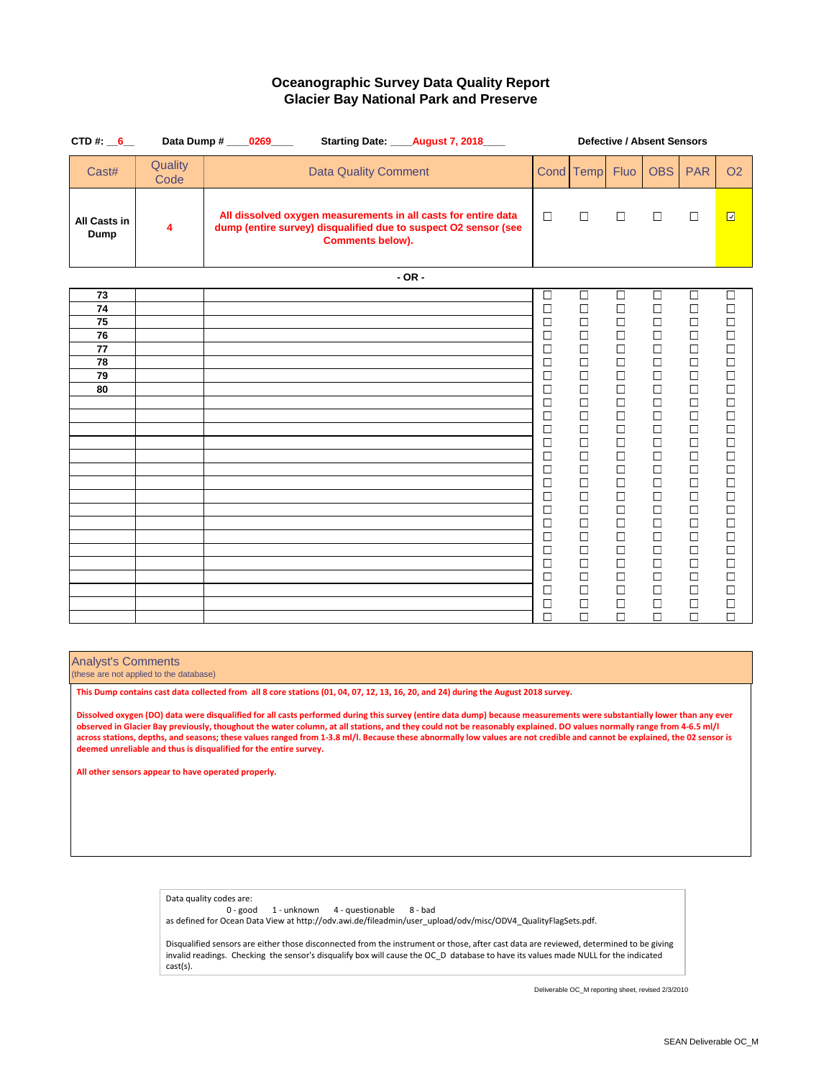| CTD#: $6$                                    | Data Dump # _____0269_____<br>Starting Date: ____August 7, 2018___                                                                                           |                                                                                                                                                                                                                                                        | <b>Defective / Absent Sensors</b>                                                                                                                                                                                                                      |                                                                                                                                                                                                                                                        |                                                                                                                                                                                                                                                        |                                                                                                                                                                                                                                                        |                                                                                                                                                                                                                                                        |  |  |  |  |
|----------------------------------------------|--------------------------------------------------------------------------------------------------------------------------------------------------------------|--------------------------------------------------------------------------------------------------------------------------------------------------------------------------------------------------------------------------------------------------------|--------------------------------------------------------------------------------------------------------------------------------------------------------------------------------------------------------------------------------------------------------|--------------------------------------------------------------------------------------------------------------------------------------------------------------------------------------------------------------------------------------------------------|--------------------------------------------------------------------------------------------------------------------------------------------------------------------------------------------------------------------------------------------------------|--------------------------------------------------------------------------------------------------------------------------------------------------------------------------------------------------------------------------------------------------------|--------------------------------------------------------------------------------------------------------------------------------------------------------------------------------------------------------------------------------------------------------|--|--|--|--|
| Quality<br>Cast#<br>Code                     | <b>Data Quality Comment</b>                                                                                                                                  |                                                                                                                                                                                                                                                        | Cond Temp                                                                                                                                                                                                                                              | <b>Fluo</b>                                                                                                                                                                                                                                            | <b>OBS</b>                                                                                                                                                                                                                                             | <b>PAR</b>                                                                                                                                                                                                                                             | <b>O2</b>                                                                                                                                                                                                                                              |  |  |  |  |
| All Casts in<br>4<br>Dump                    | All dissolved oxygen measurements in all casts for entire data<br>dump (entire survey) disqualified due to suspect O2 sensor (see<br><b>Comments below).</b> | $\Box$                                                                                                                                                                                                                                                 | $\Box$                                                                                                                                                                                                                                                 | $\Box$                                                                                                                                                                                                                                                 | $\Box$                                                                                                                                                                                                                                                 | $\Box$                                                                                                                                                                                                                                                 | $\Box$                                                                                                                                                                                                                                                 |  |  |  |  |
|                                              | $-OR -$                                                                                                                                                      |                                                                                                                                                                                                                                                        |                                                                                                                                                                                                                                                        |                                                                                                                                                                                                                                                        |                                                                                                                                                                                                                                                        |                                                                                                                                                                                                                                                        |                                                                                                                                                                                                                                                        |  |  |  |  |
| 73<br>74<br>75<br>76<br>77<br>78<br>79<br>80 |                                                                                                                                                              | $\Box$<br>$\Box$<br>$\Box$<br>$\Box$<br>$\Box$<br>$\Box$<br>$\Box$<br>$\Box$<br>$\Box$<br>$\Box$<br>$\Box$<br>$\Box$<br>$\Box$<br>$\Box$<br>$\Box$<br>$\Box$<br>$\Box$<br>$\Box$<br>$\Box$<br>$\Box$<br>$\Box$<br>$\Box$<br>$\Box$<br>$\Box$<br>$\Box$ | $\Box$<br>$\Box$<br>$\Box$<br>$\Box$<br>$\Box$<br>$\Box$<br>$\Box$<br>$\Box$<br>$\Box$<br>$\Box$<br>$\Box$<br>$\Box$<br>$\Box$<br>$\Box$<br>$\Box$<br>$\Box$<br>$\Box$<br>$\Box$<br>$\Box$<br>$\Box$<br>$\Box$<br>$\Box$<br>$\Box$<br>$\Box$<br>$\Box$ | $\Box$<br>$\Box$<br>$\Box$<br>$\Box$<br>$\Box$<br>$\Box$<br>$\Box$<br>$\Box$<br>$\Box$<br>$\Box$<br>$\Box$<br>$\Box$<br>$\Box$<br>$\Box$<br>$\Box$<br>$\Box$<br>$\Box$<br>$\Box$<br>$\Box$<br>$\Box$<br>$\Box$<br>$\Box$<br>$\Box$<br>$\Box$<br>$\Box$ | $\Box$<br>$\Box$<br>$\Box$<br>$\Box$<br>$\Box$<br>$\Box$<br>$\Box$<br>$\Box$<br>$\Box$<br>$\Box$<br>$\Box$<br>$\Box$<br>$\Box$<br>$\Box$<br>$\Box$<br>$\Box$<br>$\Box$<br>$\Box$<br>$\Box$<br>$\Box$<br>$\Box$<br>$\Box$<br>$\Box$<br>$\Box$<br>$\Box$ | $\Box$<br>$\Box$<br>$\Box$<br>$\Box$<br>$\Box$<br>$\Box$<br>$\Box$<br>$\Box$<br>$\Box$<br>$\Box$<br>$\Box$<br>$\Box$<br>$\Box$<br>$\Box$<br>$\Box$<br>$\Box$<br>$\Box$<br>$\Box$<br>$\Box$<br>$\Box$<br>$\Box$<br>$\Box$<br>$\Box$<br>$\Box$<br>$\Box$ | $\Box$<br>$\Box$<br>$\Box$<br>$\Box$<br>$\Box$<br>$\Box$<br>$\Box$<br>$\Box$<br>$\Box$<br>$\Box$<br>$\Box$<br>$\Box$<br>$\Box$<br>$\Box$<br>$\Box$<br>$\Box$<br>$\Box$<br>$\Box$<br>$\Box$<br>$\Box$<br>$\Box$<br>$\Box$<br>$\Box$<br>$\Box$<br>$\Box$ |  |  |  |  |

### Analyst's Comments

(these are not applied to the database)

**This Dump contains cast data collected from all 8 core stations (01, 04, 07, 12, 13, 16, 20, and 24) during the August 2018 survey.**

**Dissolved oxygen (DO) data were disqualified for all casts performed during this survey (entire data dump) because measurements were substantially lower than any ever observed in Glacier Bay previously, thoughout the water column, at all stations, and they could not be reasonably explained. DO values normally range from 4-6.5 ml/l across stations, depths, and seasons; these values ranged from 1-3.8 ml/l. Because these abnormally low values are not credible and cannot be explained, the 02 sensor is deemed unreliable and thus is disqualified for the entire survey.**

**All other sensors appear to have operated properly.**

cast(s).

Data quality codes are: 0 - good 1 - unknown 4 - questionable 8 - bad as defined for Ocean Data View at http://odv.awi.de/fileadmin/user\_upload/odv/misc/ODV4\_QualityFlagSets.pdf. Disqualified sensors are either those disconnected from the instrument or those, after cast data are reviewed, determined to be giving invalid readings. Checking the sensor's disqualify box will cause the OC\_D database to have its values made NULL for the indicated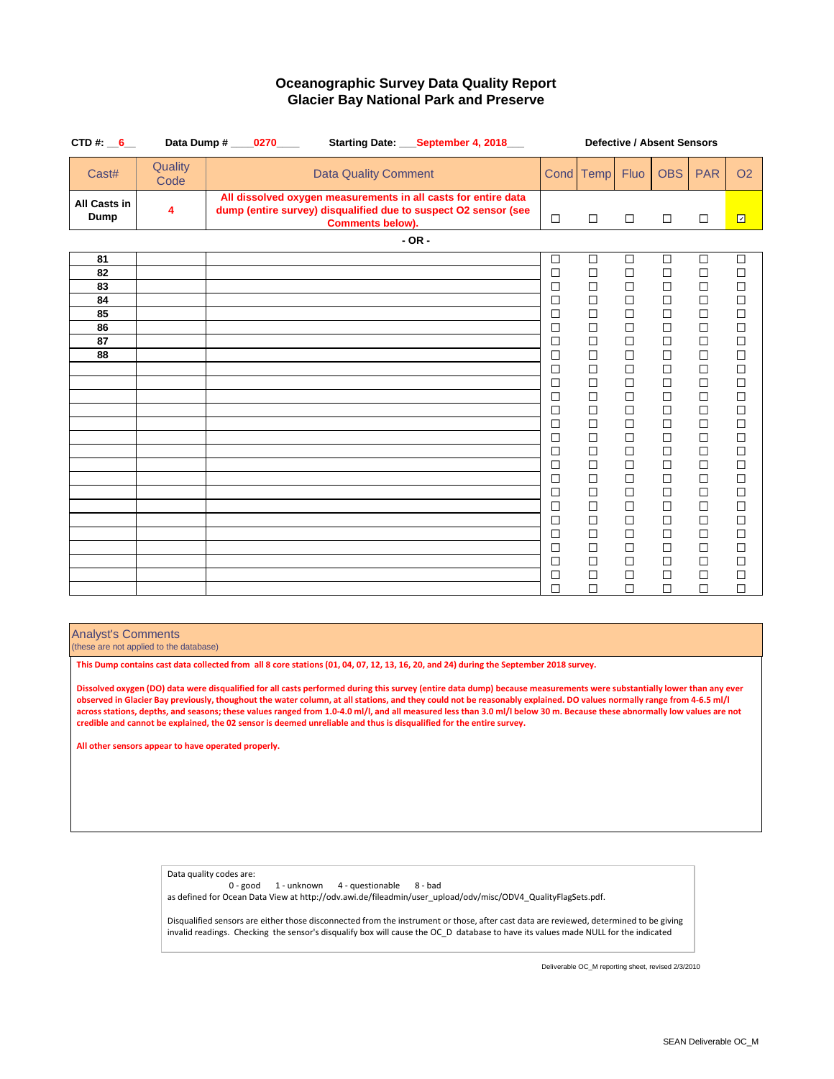| CTD#: $6$                                                 |                 | Data Dump # 0270<br>Starting Date: September 4, 2018                                                                                                         |                                                                                                                                                                             | <b>Defective / Absent Sensors</b><br><b>Fluo</b><br><b>OBS</b><br><b>PAR</b><br>Cond Temp<br>$\Box$<br>$\Box$<br>$\Box$<br>$\Box$                                                     |                                                                                                                                                                                  |                                                                                                                                                                                                 |                                                                                                                                                                                                           |                                                                                                                                                                                                      |
|-----------------------------------------------------------|-----------------|--------------------------------------------------------------------------------------------------------------------------------------------------------------|-----------------------------------------------------------------------------------------------------------------------------------------------------------------------------|---------------------------------------------------------------------------------------------------------------------------------------------------------------------------------------|----------------------------------------------------------------------------------------------------------------------------------------------------------------------------------|-------------------------------------------------------------------------------------------------------------------------------------------------------------------------------------------------|-----------------------------------------------------------------------------------------------------------------------------------------------------------------------------------------------------------|------------------------------------------------------------------------------------------------------------------------------------------------------------------------------------------------------|
| Cast#                                                     | Quality<br>Code | <b>Data Quality Comment</b>                                                                                                                                  |                                                                                                                                                                             |                                                                                                                                                                                       |                                                                                                                                                                                  |                                                                                                                                                                                                 |                                                                                                                                                                                                           | <b>O2</b>                                                                                                                                                                                            |
| All Casts in<br>Dump                                      | 4               | All dissolved oxygen measurements in all casts for entire data<br>dump (entire survey) disqualified due to suspect O2 sensor (see<br><b>Comments below).</b> | $\Box$                                                                                                                                                                      |                                                                                                                                                                                       |                                                                                                                                                                                  |                                                                                                                                                                                                 |                                                                                                                                                                                                           | $\overline{\Xi}$                                                                                                                                                                                     |
|                                                           |                 | $-$ OR $-$                                                                                                                                                   |                                                                                                                                                                             |                                                                                                                                                                                       |                                                                                                                                                                                  |                                                                                                                                                                                                 |                                                                                                                                                                                                           |                                                                                                                                                                                                      |
| 81<br>82<br>83<br>84<br>85<br>86<br>$\overline{87}$<br>88 |                 |                                                                                                                                                              | $\Box$<br>$\Box$<br>$\Box$<br>$\Box$<br>$\Box$<br>□<br>$\Box$<br>□<br>$\Box$<br>□<br>$\Box$<br>□<br>$\Box$<br>$\Box$<br>$\Box$<br>$\Box$<br>$\Box$<br>$\Box$<br>□<br>$\Box$ | □<br>$\Box$<br>$\Box$<br>$\Box$<br>$\Box$<br>□<br>$\Box$<br>$\Box$<br>$\Box$<br>$\Box$<br>$\Box$<br>$\Box$<br>$\Box$<br>$\Box$<br>□<br>$\Box$<br>$\Box$<br>$\Box$<br>$\Box$<br>$\Box$ | □<br>$\Box$<br>$\Box$<br>$\Box$<br>$\Box$<br>□<br>$\Box$<br>$\Box$<br>$\Box$<br>□<br>$\Box$<br>$\Box$<br>$\Box$<br>$\Box$<br>□<br>$\Box$<br>$\Box$<br>$\Box$<br>$\Box$<br>$\Box$ | $\Box$<br>$\Box$<br>$\Box$<br>$\Box$<br>$\Box$<br>□<br>$\Box$<br>$\Box$<br>$\Box$<br>$\Box$<br>$\Box$<br>$\Box$<br>$\Box$<br>□<br>□<br>$\Box$<br>$\Box$<br>$\Box$<br>$\Box$<br>$\Box$<br>$\Box$ | $\Box$<br>$\Box$<br>$\Box$<br>$\Box$<br>$\Box$<br>$\Box$<br>$\Box$<br>$\Box$<br>$\Box$<br>$\Box$<br>$\Box$<br>$\Box$<br>$\Box$<br>$\Box$<br>□<br>$\Box$<br>$\Box$<br>$\Box$<br>$\Box$<br>$\Box$<br>$\Box$ | $\Box$<br>$\Box$<br>$\Box$<br>$\Box$<br>$\Box$<br>$\Box$<br>$\Box$<br>$\Box$<br>$\Box$<br>$\Box$<br>$\Box$<br>$\Box$<br>$\Box$<br>$\Box$<br>$\Box$<br>$\Box$<br>$\Box$<br>$\Box$<br>$\Box$<br>$\Box$ |
|                                                           |                 |                                                                                                                                                              | $\Box$<br>$\Box$<br>$\Box$<br>$\Box$<br>$\Box$                                                                                                                              | $\Box$<br>$\Box$<br>$\Box$<br>$\Box$<br>$\Box$<br>$\Box$<br>□<br>П<br>$\Box$<br>$\Box$                                                                                                | $\Box$<br>$\Box$<br>П<br>$\Box$                                                                                                                                                  | $\Box$<br>$\Box$<br>$\Box$<br>$\Box$                                                                                                                                                            | $\Box$<br>$\Box$<br>$\Box$<br>$\Box$<br>$\Box$                                                                                                                                                            |                                                                                                                                                                                                      |

### Analyst's Comments

(these are not applied to the database)

**This Dump contains cast data collected from all 8 core stations (01, 04, 07, 12, 13, 16, 20, and 24) during the September 2018 survey.**

**Dissolved oxygen (DO) data were disqualified for all casts performed during this survey (entire data dump) because measurements were substantially lower than any ever observed in Glacier Bay previously, thoughout the water column, at all stations, and they could not be reasonably explained. DO values normally range from 4-6.5 ml/l across stations, depths, and seasons; these values ranged from 1.0-4.0 ml/l, and all measured less than 3.0 ml/l below 30 m. Because these abnormally low values are not credible and cannot be explained, the 02 sensor is deemed unreliable and thus is disqualified for the entire survey.**

**All other sensors appear to have operated properly.**

Data quality codes are:<br>0 - good 1 - unknown 4 - questionable 8 - bad as defined for Ocean Data View at http://odv.awi.de/fileadmin/user\_upload/odv/misc/ODV4\_QualityFlagSets.pdf.

Disqualified sensors are either those disconnected from the instrument or those, after cast data are reviewed, determined to be giving invalid readings. Checking the sensor's disqualify box will cause the OC\_D database to have its values made NULL for the indicated